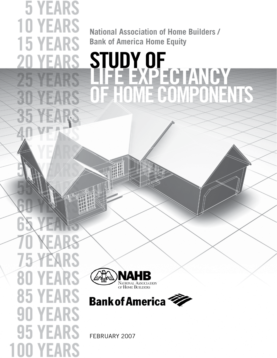**National Association of Home Builders / Bank of America Home Equity**

# **15 YEARS** STUDY OF<br>NHF EXPE **LIFE EXPECTANCY**<br>LE HOME GOMPONI **IME COMPONENTS**





february 2007

80 Y **85 YEARS 90 YEARS** YEARS 5 **YEAR** 

**5 YEARS** 

**10 YEARS** 

Yŀ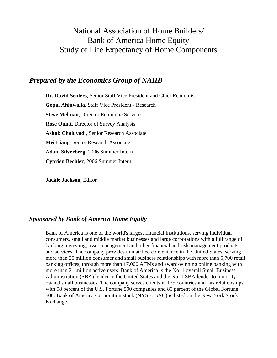# National Association of Home Builders/ Bank of America Home Equity Study of Life Expectancy of Home Components

# *Prepared by the Economics Group of NAHB*

**Dr. David Seiders**, Senior Staff Vice President and Chief Economist **Gopal Ahluwalia**, Staff Vice President - Research **Steve Melman**, Director Economic Services **Rose Quint**, Director of Survey Analysis **Ashok Chaluvadi**, Senior Research Associate **Mei Liang**, Senior Research Associate **Adam Silverberg**, 2006 Summer Intern **Cyprien Bechler**, 2006 Summer Intern

**Jackie Jackson**, Editor

## *Sponsored by Bank of America Home Equity*

Bank of America is one of the world's largest financial institutions, serving individual consumers, small and middle market businesses and large corporations with a full range of banking, investing, asset management and other financial and risk-management products and services. The company provides unmatched convenience in the United States, serving more than 55 million consumer and small business relationships with more than 5,700 retail banking offices, through more than 17,000 ATMs and award-winning online banking with more than 21 million active users. Bank of America is the No. 1 overall Small Business Administration (SBA) lender in the United States and the No. 1 SBA lender to minorityowned small businesses. The company serves clients in 175 countries and has relationships with 98 percent of the U.S. Fortune 500 companies and 80 percent of the Global Fortune 500. Bank of America Corporation stock (NYSE: BAC) is listed on the New York Stock Exchange.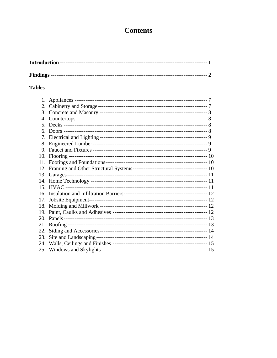# **Contents**

## **Tables**

| 1.  |  |
|-----|--|
| 2.  |  |
| 3.  |  |
| 4.  |  |
|     |  |
| 6.  |  |
| 7.  |  |
| 8.  |  |
| 9.  |  |
|     |  |
| 11. |  |
|     |  |
|     |  |
|     |  |
|     |  |
|     |  |
| 17. |  |
|     |  |
| 19. |  |
|     |  |
| 21. |  |
| 22. |  |
| 23. |  |
| 24. |  |
|     |  |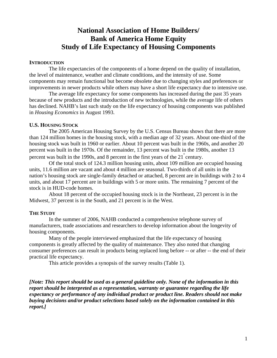# **National Association of Home Builders/ Bank of America Home Equity Study of Life Expectancy of Housing Components**

#### **INTRODUCTION**

The life expectancies of the components of a home depend on the quality of installation, the level of maintenance, weather and climate conditions, and the intensity of use. Some components may remain functional but become obsolete due to changing styles and preferences or improvements in newer products while others may have a short life expectancy due to intensive use.

 The average life expectancy for some components has increased during the past 35 years because of new products and the introduction of new technologies, while the average life of others has declined. NAHB's last such study on the life expectancy of housing components was published in *Housing Economics* in August 1993.

#### **U.S. HOUSING STOCK**

The 2005 American Housing Survey by the U.S. Census Bureau shows that there are more than 124 million homes in the housing stock, with a median age of 32 years. About one-third of the housing stock was built in 1960 or earlier. About 10 percent was built in the 1960s, and another 20 percent was built in the 1970s. Of the remainder, 13 percent was built in the 1980s, another 13 percent was built in the 1990s, and 8 percent in the first years of the  $21^{\degree}$  century.

 Of the total stock of 124.3 million housing units, about 109 million are occupied housing units, 11.6 million are vacant and about 4 million are seasonal. Two-thirds of all units in the nation's housing stock are single-family detached or attached, 8 percent are in buildings with 2 to 4 units, and about 17 percent are in buildings with 5 or more units. The remaining 7 percent of the stock is in HUD-code homes.

 About 18 percent of the occupied housing stock is in the Northeast, 23 percent is in the Midwest, 37 percent is in the South, and 21 percent is in the West.

#### **THE STUDY**

In the summer of 2006, NAHB conducted a comprehensive telephone survey of manufacturers, trade associations and researchers to develop information about the longevity of housing components.

 Many of the people interviewed emphasized that the life expectancy of housing components is greatly affected by the quality of maintenance. They also noted that changing consumer preferences can result in products being replaced long before -- or after -- the end of their practical life expectancy.

This article provides a synopsis of the survey results (Table 1).

*[Note: This report should be used as a general guideline only. None of the information in this report should be interpreted as a representation, warranty or guarantee regarding the life expectancy or performance of any individual product or product line. Readers should not make buying decisions and/or product selections based solely on the information contained in this report.]*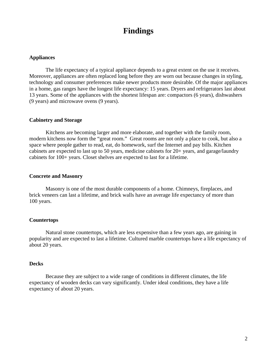# **Findings**

#### **Appliances**

The life expectancy of a typical appliance depends to a great extent on the use it receives. Moreover, appliances are often replaced long before they are worn out because changes in styling, technology and consumer preferences make newer products more desirable. Of the major appliances in a home, gas ranges have the longest life expectancy: 15 years. Dryers and refrigerators last about 13 years. Some of the appliances with the shortest lifespan are: compactors (6 years), dishwashers (9 years) and microwave ovens (9 years).

#### **Cabinetry and Storage**

Kitchens are becoming larger and more elaborate, and together with the family room, modern kitchens now form the "great room." Great rooms are not only a place to cook, but also a space where people gather to read, eat, do homework, surf the Internet and pay bills. Kitchen cabinets are expected to last up to 50 years, medicine cabinets for 20+ years, and garage/laundry cabinets for 100+ years. Closet shelves are expected to last for a lifetime.

#### **Concrete and Masonry**

Masonry is one of the most durable components of a home. Chimneys, fireplaces, and brick veneers can last a lifetime, and brick walls have an average life expectancy of more than 100 years.

#### **Countertops**

Natural stone countertops, which are less expensive than a few years ago, are gaining in popularity and are expected to last a lifetime. Cultured marble countertops have a life expectancy of about 20 years.

#### **Decks**

Because they are subject to a wide range of conditions in different climates, the life expectancy of wooden decks can vary significantly. Under ideal conditions, they have a life expectancy of about 20 years.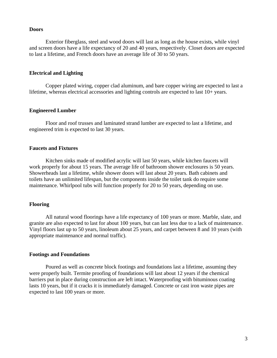#### **Doors**

Exterior fiberglass, steel and wood doors will last as long as the house exists, while vinyl and screen doors have a life expectancy of 20 and 40 years, respectively. Closet doors are expected to last a lifetime, and French doors have an average life of 30 to 50 years.

#### **Electrical and Lighting**

Copper plated wiring, copper clad aluminum, and bare copper wiring are expected to last a lifetime, whereas electrical accessories and lighting controls are expected to last 10+ years.

#### **Engineered Lumber**

Floor and roof trusses and laminated strand lumber are expected to last a lifetime, and engineered trim is expected to last 30 years.

#### **Faucets and Fixtures**

Kitchen sinks made of modified acrylic will last 50 years, while kitchen faucets will work properly for about 15 years. The average life of bathroom shower enclosures is 50 years. Showerheads last a lifetime, while shower doors will last about 20 years. Bath cabinets and toilets have an unlimited lifespan, but the components inside the toilet tank do require some maintenance. Whirlpool tubs will function properly for 20 to 50 years, depending on use.

#### **Flooring**

All natural wood floorings have a life expectancy of 100 years or more. Marble, slate, and granite are also expected to last for about 100 years, but can last less due to a lack of maintenance. Vinyl floors last up to 50 years, linoleum about 25 years, and carpet between 8 and 10 years (with appropriate maintenance and normal traffic).

#### **Footings and Foundations**

Poured as well as concrete block footings and foundations last a lifetime, assuming they were properly built. Termite proofing of foundations will last about 12 years if the chemical barriers put in place during construction are left intact. Waterproofing with bituminous coating lasts 10 years, but if it cracks it is immediately damaged. Concrete or cast iron waste pipes are expected to last 100 years or more.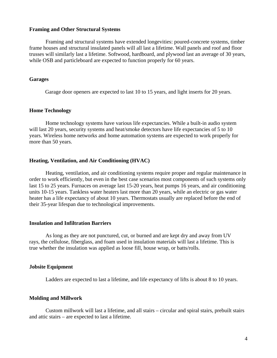#### **Framing and Other Structural Systems**

Framing and structural systems have extended longevities: poured-concrete systems, timber frame houses and structural insulated panels will all last a lifetime. Wall panels and roof and floor trusses will similarly last a lifetime. Softwood, hardboard, and plywood last an average of 30 years, while OSB and particleboard are expected to function properly for 60 years.

#### **Garages**

Garage door openers are expected to last 10 to 15 years, and light inserts for 20 years.

#### **Home Technology**

Home technology systems have various life expectancies. While a built-in audio system will last 20 years, security systems and heat/smoke detectors have life expectancies of 5 to 10 years. Wireless home networks and home automation systems are expected to work properly for more than 50 years.

#### **Heating, Ventilation, and Air Conditioning (HVAC)**

Heating, ventilation, and air conditioning systems require proper and regular maintenance in order to work efficiently, but even in the best case scenarios most components of such systems only last 15 to 25 years. Furnaces on average last 15-20 years, heat pumps 16 years, and air conditioning units 10-15 years. Tankless water heaters last more than 20 years, while an electric or gas water heater has a life expectancy of about 10 years. Thermostats usually are replaced before the end of their 35-year lifespan due to technological improvements.

#### **Insulation and Infiltration Barriers**

As long as they are not punctured, cut, or burned and are kept dry and away from UV rays, the cellulose, fiberglass, and foam used in insulation materials will last a lifetime. This is true whether the insulation was applied as loose fill, house wrap, or batts/rolls.

#### **Jobsite Equipment**

Ladders are expected to last a lifetime, and life expectancy of lifts is about 8 to 10 years.

#### **Molding and Millwork**

Custom millwork will last a lifetime, and all stairs – circular and spiral stairs, prebuilt stairs and attic stairs – are expected to last a lifetime.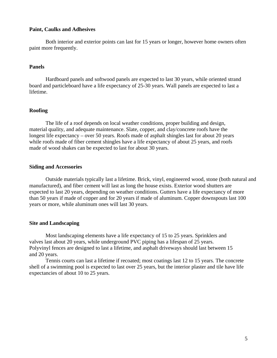#### **Paint, Caulks and Adhesives**

Both interior and exterior points can last for 15 years or longer, however home owners often paint more frequently.

#### **Panels**

Hardboard panels and softwood panels are expected to last 30 years, while oriented strand board and particleboard have a life expectancy of 25-30 years. Wall panels are expected to last a lifetime.

#### **Roofing**

The life of a roof depends on local weather conditions, proper building and design, material quality, and adequate maintenance. Slate, copper, and clay/concrete roofs have the longest life expectancy – over 50 years. Roofs made of asphalt shingles last for about 20 years while roofs made of fiber cement shingles have a life expectancy of about 25 years, and roofs made of wood shakes can be expected to last for about 30 years.

#### **Siding and Accessories**

Outside materials typically last a lifetime. Brick, vinyl, engineered wood, stone (both natural and manufactured), and fiber cement will last as long the house exists. Exterior wood shutters are expected to last 20 years, depending on weather conditions. Gutters have a life expectancy of more than 50 years if made of copper and for 20 years if made of aluminum. Copper downspouts last 100 years or more, while aluminum ones will last 30 years.

#### **Site and Landscaping**

Most landscaping elements have a life expectancy of 15 to 25 years. Sprinklers and valves last about 20 years, while underground PVC piping has a lifespan of 25 years. Polyvinyl fences are designed to last a lifetime, and asphalt driveways should last between 15 and 20 years.

Tennis courts can last a lifetime if recoated; most coatings last 12 to 15 years. The concrete shell of a swimming pool is expected to last over 25 years, but the interior plaster and tile have life expectancies of about 10 to 25 years.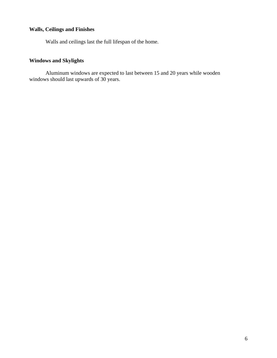## **Walls, Ceilings and Finishes**

Walls and ceilings last the full lifespan of the home.

# **Windows and Skylights**

Aluminum windows are expected to last between 15 and 20 years while wooden windows should last upwards of 30 years.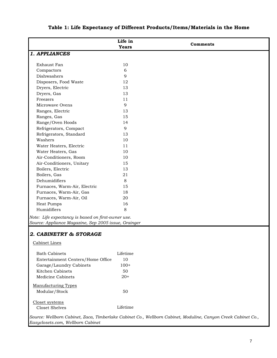|                                                      | Life in      | <b>Comments</b>                                                                                               |
|------------------------------------------------------|--------------|---------------------------------------------------------------------------------------------------------------|
|                                                      | <b>Years</b> |                                                                                                               |
| 1. APPLIANCES                                        |              |                                                                                                               |
|                                                      |              |                                                                                                               |
| Exhaust Fan                                          | 10           |                                                                                                               |
| Compactors                                           | 6            |                                                                                                               |
| Dishwashers                                          | 9            |                                                                                                               |
| Disposers, Food Waste                                | 12           |                                                                                                               |
| Dryers, Electric                                     | 13           |                                                                                                               |
| Dryers, Gas                                          | 13           |                                                                                                               |
| Freezers                                             | 11           |                                                                                                               |
| Microwave Ovens                                      | 9            |                                                                                                               |
| Ranges, Electric                                     | 13           |                                                                                                               |
| Ranges, Gas                                          | 15           |                                                                                                               |
| Range/Oven Hoods                                     | 14           |                                                                                                               |
| Refrigerators, Compact                               | 9            |                                                                                                               |
| Refrigerators, Standard                              | 13           |                                                                                                               |
| Washers                                              | 10           |                                                                                                               |
| Water Heaters, Electric                              | 11           |                                                                                                               |
| Water Heaters, Gas                                   | 10           |                                                                                                               |
| Air-Conditioners, Room                               | 10           |                                                                                                               |
| Air-Conditioners, Unitary                            | 15           |                                                                                                               |
| Boilers, Electric                                    | 13           |                                                                                                               |
| Boilers, Gas                                         | 21           |                                                                                                               |
| Dehumidifiers                                        | 8            |                                                                                                               |
| Furnaces, Warm-Air, Electric                         | 15           |                                                                                                               |
| Furnaces, Warm-Air, Gas                              | 18           |                                                                                                               |
| Furnaces, Warm-Air, Oil                              | 20           |                                                                                                               |
| Heat Pumps                                           | 16           |                                                                                                               |
| Humidifiers                                          | 8            |                                                                                                               |
|                                                      |              |                                                                                                               |
| Note: Life expectancy is based on first-owner use.   |              |                                                                                                               |
| Source: Appliance Magazine, Sep 2005 issue, Grainger |              |                                                                                                               |
| 2. CABINETRY & STORAGE                               |              |                                                                                                               |
|                                                      |              |                                                                                                               |
| Cabinet Lines                                        |              |                                                                                                               |
|                                                      |              |                                                                                                               |
| <b>Bath Cabinets</b>                                 | Lifetime     |                                                                                                               |
| Entertainment Centers/Home Office                    | 10           |                                                                                                               |
| Garage/Laundry Cabinets                              | $100+$       |                                                                                                               |
| Kitchen Cabinets                                     | 50           |                                                                                                               |
| Medicine Cabinets                                    | $20+$        |                                                                                                               |
| <b>Manufacturing Types</b>                           |              |                                                                                                               |
| Modular/Stock                                        | 50           |                                                                                                               |
|                                                      |              |                                                                                                               |
| Closet systems                                       |              |                                                                                                               |
| Closet Shelves                                       | Lifetime     |                                                                                                               |
|                                                      |              |                                                                                                               |
|                                                      |              | Source: Wellborn Cabinet, Zaca, Timberlake Cabinet Co., Wellborn Cabinet, Moduline, Canyon Creek Cabinet Co., |
| Easyclosets.com, Wellborn Cabinet                    |              |                                                                                                               |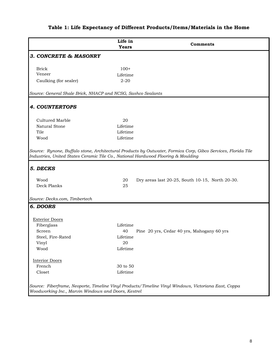# **Life in Years Comments** *3. CONCRETE & MASONRY* Brick 100+ Veneer Lifetime Caulking (for sealer) 2-20 *4. COUNTERTOPS* Cultured Marble 20 Natural Stone Lifetime Tile Lifetime Wood Lifetime *5. DECKS* Wood 20 Dry areas last 20-25, South 10-15, North 20-30. Deck Planks 25 *6. DOORS* Exterior Doors Fiberglass Lifetime Screen 40 Pine 20 yrs, Cedar 40 yrs, Mahogany 60 yrs Steel, Fire-Rated Lifetime Vinyl 20 Wood Lifetime Interior Doors French 30 to 50 Closet Lifetime *Source: Fiberframe, Neoporte, Timeline Vinyl Products/Timeline Vinyl Windows, Victoriana East, Coppa Woodworking Inc., Marvin Windows and Doors, Kestrel Source: General Shale Brick, NHACP and NCSG, Sashco Sealants Source: Rynone, Buffalo stone, Architectural Products by Outwater, Formica Corp, Gibco Services, Florida Tile Industries, United States Ceramic Tile Co., National Hardwood Flooring & Moulding Source: Decks.com, Timbertech*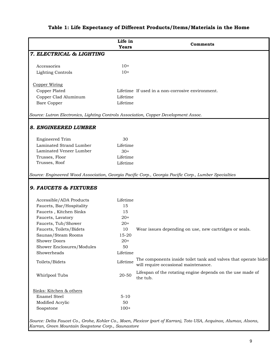|                                                                                      | Life in<br><b>Years</b> | Comments                                                                                                |
|--------------------------------------------------------------------------------------|-------------------------|---------------------------------------------------------------------------------------------------------|
| 7. ELECTRICAL & LIGHTING                                                             |                         |                                                                                                         |
| Accessories                                                                          | $10+$                   |                                                                                                         |
| <b>Lighting Controls</b>                                                             | $10+$                   |                                                                                                         |
| <b>Copper Wiring</b>                                                                 |                         |                                                                                                         |
| Copper Plated                                                                        |                         | Lifetime If used in a non-corrosive environment.                                                        |
| Copper Clad Aluminum                                                                 | Lifetime                |                                                                                                         |
| <b>Bare Copper</b>                                                                   | Lifetime                |                                                                                                         |
| Source: Lutron Electronics, Lighting Controls Association, Copper Development Assoc. |                         |                                                                                                         |
| 8. ENGINEERED LUMBER                                                                 |                         |                                                                                                         |
| <b>Engineered Trim</b>                                                               | 30                      |                                                                                                         |
| Laminated Strand Lumber                                                              | Lifetime                |                                                                                                         |
| Laminated Veneer Lumber                                                              | $30+$                   |                                                                                                         |
| Trusses, Floor                                                                       | Lifetime                |                                                                                                         |
| Trusses, Roof                                                                        | Lifetime                |                                                                                                         |
| 9. FAUCETS & FIXTURES                                                                |                         | Source: Engineered Wood Association, Georgia Pacific Corp., Georgia Pacific Corp., Lumber Specialties   |
| Accessible/ADA Products                                                              | Lifetime                |                                                                                                         |
| Faucets, Bar/Hospitality                                                             | 15                      |                                                                                                         |
| Faucets, Kitchen Sinks                                                               | 15                      |                                                                                                         |
| Faucets, Lavatory                                                                    | $20+$                   |                                                                                                         |
| Faucets, Tub/Shower                                                                  | $20+$                   |                                                                                                         |
| Faucets, Toilets/Bidets                                                              | 10                      | Wear issues depending on use, new cartridges or seals.                                                  |
| Saunas/Steam Rooms                                                                   | 15-20                   |                                                                                                         |
| <b>Shower Doors</b>                                                                  | $20+$                   |                                                                                                         |
| Shower Enclosures/Modules                                                            | 50                      |                                                                                                         |
| Showerheads                                                                          | Lifetime                |                                                                                                         |
| Toilets/Bidets                                                                       | Lifetime                | The components inside toilet tank and valves that operate bidet<br>will require occasional maintenance. |
| Whirlpool Tubs                                                                       | 20-50                   | Lifespan of the rotating engine depends on the use made of<br>the tub.                                  |
| Sinks: Kitchen & others                                                              |                         |                                                                                                         |
| <b>Enamel Steel</b>                                                                  | $5 - 10$                |                                                                                                         |
| Modified Acrylic                                                                     | 50                      |                                                                                                         |
| Soapstone                                                                            | $100+$                  |                                                                                                         |
|                                                                                      |                         |                                                                                                         |

*Source: Delta Faucet Co., Grohe, Kohler Co., Moen, Plexicor (part of Karran), Toto USA, Acquinox, Alumax, Alsons, Karran, Green Mountain Soapstone Corp., Saunastore*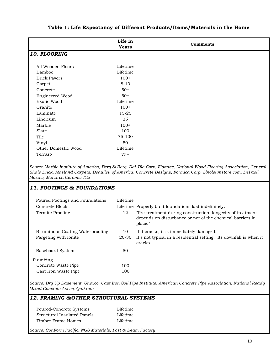|                     | Life in<br><b>Years</b> | <b>Comments</b> |
|---------------------|-------------------------|-----------------|
| 10. FLOORING        |                         |                 |
|                     |                         |                 |
| All Wooden Floors   | Lifetime                |                 |
| Bamboo              | Lifetime                |                 |
| <b>Brick Pavers</b> | $100+$                  |                 |
| Carpet              | $8 - 10$                |                 |
| Concrete            | $50+$                   |                 |
| Engineered Wood     | $50+$                   |                 |
| Exotic Wood         | Lifetime                |                 |
| Granite             | $100+$                  |                 |
| Laminate            | 15-25                   |                 |
| Linoleum            | 25                      |                 |
| Marble              | $100+$                  |                 |
| Slate               | 100                     |                 |
| Tile                | 75-100                  |                 |
| Vinyl               | 50                      |                 |
| Other Domestic Wood | Lifetime                |                 |
| Terrazo             | $75+$                   |                 |

*Source:Marble Institute of America, Berg & Berg, Dal-Tile Corp, Floortec, National Wood Flooring Association, General Shale Brick, Masland Carpets, Beaulieu of America, Concrete Designs, Formica Corp, Linoleumstore.com, DePaoli Mosaic, Monarch Ceramic Tile*

#### *11. FOOTINGS & FOUNDATIONS*

| Poured Footings and Foundations  | Lifetime |                                                                                                                                    |
|----------------------------------|----------|------------------------------------------------------------------------------------------------------------------------------------|
| Concrete Block                   |          | Lifetime Properly built foundations last indefinitely.                                                                             |
| Termite Proofing                 | 12       | "Pre-treatment during construction: longevity of treatment<br>depends on disturbance or not of the chemical barriers in<br>place." |
| Bituminous Coating Waterproofing | 10       | If it cracks, it is immediately damaged.                                                                                           |
| Pargeting with Ionite            | 20-30    | It's not typical in a residential setting. Its downfall is when it<br>cracks.                                                      |
| Baseboard System                 | 50       |                                                                                                                                    |
| Plumbing                         |          |                                                                                                                                    |
| Concrete Waste Pipe              | 100      |                                                                                                                                    |
| Cast Iron Waste Pipe             | 100      |                                                                                                                                    |

*Source: Dry Up Basement, Unexco, Cast Iron Soil Pipe Institute, American Concrete Pipe Association, National Ready Mixed Concrete Assoc, Quikrete* 

#### *12. FRAMING &OTHER STRUCTURAL SYSTEMS*

| Poured-Concrete Systems     | Lifetime |
|-----------------------------|----------|
| Structural Insulated Panels | Lifetime |
| Timber Frame Homes          | Lifetime |

*Source: ConForm Pacific, NGS Materials, Post & Beam Factory*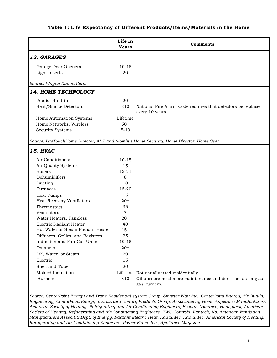|                                   | Life in<br><b>Years</b> | <b>Comments</b>                                                                          |
|-----------------------------------|-------------------------|------------------------------------------------------------------------------------------|
| 13. GARAGES                       |                         |                                                                                          |
| Garage Door Openers               | $10 - 15$               |                                                                                          |
| Light Inserts                     | 20                      |                                                                                          |
|                                   |                         |                                                                                          |
| Source: Wayne-Dalton Corp.        |                         |                                                                                          |
| 14. HOME TECHNOLOGY               |                         |                                                                                          |
| Audio, Built-in                   | 20                      |                                                                                          |
| Heat/Smoke Detectors              | ~10                     | National Fire Alarm Code requires that detectors be replaced                             |
|                                   |                         | every 10 years.                                                                          |
| Home Automation Systems           | Lifetime                |                                                                                          |
| Home Networks, Wireless           | $50+$                   |                                                                                          |
| Security Systems                  | $5 - 10$                |                                                                                          |
|                                   |                         |                                                                                          |
|                                   |                         | Source: LiteTouchHome Director, ADT and Slomin's Home Security, Home Director, Home Seer |
| <b>15. HVAC</b>                   |                         |                                                                                          |
| Air Conditioners                  | $10 - 15$               |                                                                                          |
| Air Quality Systems               | 15                      |                                                                                          |
| <b>Boilers</b>                    | $13 - 21$               |                                                                                          |
| Dehumidifiers                     | 8                       |                                                                                          |
| Ducting                           | 10                      |                                                                                          |
| Furnaces                          | 15-20                   |                                                                                          |
| Heat Pumps                        | 16                      |                                                                                          |
| <b>Heat Recovery Ventilators</b>  | $20+$                   |                                                                                          |
| Thermostats                       | 35                      |                                                                                          |
| Ventilators                       | $\overline{7}$          |                                                                                          |
| Water Heaters, Tankless           | $20+$                   |                                                                                          |
| Electric Radiant Heater           | 40                      |                                                                                          |
| Hot Water or Steam Radiant Heater | $15+$                   |                                                                                          |
| Diffusers, Grilles, and Registers | 25                      |                                                                                          |
| Induction and Fan-Coil Units      | $10 - 15$               |                                                                                          |
| Dampers                           | $20+$                   |                                                                                          |
| DX, Water, or Steam               | 20                      |                                                                                          |
| Electric                          | 15                      |                                                                                          |
| Shell-and-Tube                    | 20                      |                                                                                          |
| Molded Insulation                 |                         | Lifetime Not usually used residentially.                                                 |
| <b>Burners</b>                    | $<10$                   | Oil burners need more maintenance and don't last as long as<br>gas burners.              |
|                                   |                         |                                                                                          |

*Source: CenterPoint Energy and Trane Residential system Group, Smarter Way Inc., CenterPoint Energy, Air Quality Engineering, CenterPoint Energy and Luxaire Unitary Products Group, Association of Home Appliance Manufacturers, American Society of Heating, Refrigerating and Air-Conditioning Engineers, Econar, Lomanco, Honeywell, American Society of Heating, Refrigerating and Air-Conditioning Engineers, EWC Controls, Fantech, No. American Insulation Manufacturers Assoc.US Dept. of Energy, Radiant Electric Heat, Radiantec, Radiantec, American Society of Heating, Refrigerating and Air-Conditioning Engineers, Power Flame Inc., Appliance Magazine*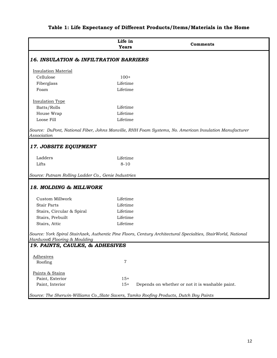|                                                     | Life in<br><b>Years</b> | Comments                                                                                                      |
|-----------------------------------------------------|-------------------------|---------------------------------------------------------------------------------------------------------------|
| <b>16. INSULATION &amp; INFILTRATION BARRIERS</b>   |                         |                                                                                                               |
| <b>Insulation Material</b>                          |                         |                                                                                                               |
| Cellulose                                           | $100+$                  |                                                                                                               |
| Fiberglass                                          | Lifetime                |                                                                                                               |
| Foam                                                | Lifetime                |                                                                                                               |
| <b>Insulation Type</b>                              |                         |                                                                                                               |
| Batts/Rolls                                         | Lifetime                |                                                                                                               |
| House Wrap                                          | Lifetime                |                                                                                                               |
| Loose Fill                                          | Lifetime                |                                                                                                               |
| Association                                         |                         | Source: DuPont, National Fiber, Johns Manville, RHH Foam Systems, No. American Insulation Manufacturer        |
| <b>17. JOBSITE EQUIPMENT</b>                        |                         |                                                                                                               |
| Ladders                                             | Lifetime                |                                                                                                               |
| Lifts                                               | $8 - 10$                |                                                                                                               |
| Source: Putnam Rolling Ladder Co., Genie Industries |                         |                                                                                                               |
| 18. MOLDING & MILLWORK                              |                         |                                                                                                               |
| Custom Millwork                                     | Lifetime                |                                                                                                               |
| <b>Stair Parts</b>                                  | Lifetime                |                                                                                                               |
| Stairs, Circular & Spiral                           | Lifetime                |                                                                                                               |
| Stairs, Prebuilt                                    | Lifetime                |                                                                                                               |
| Stairs, Attic                                       | Lifetime                |                                                                                                               |
|                                                     |                         | Source: York Spiral StairAzek, Authentic Pine Floors, Century Architectural Specialties, StairWorld, National |
| Hardwood Flooring & Moulding                        |                         |                                                                                                               |
| 19. PAINTS, CAULKS, & ADHESIVES                     |                         |                                                                                                               |
| <b>Adhesives</b>                                    |                         |                                                                                                               |
| Roofing                                             | 7                       |                                                                                                               |
| Paints & Stains                                     |                         |                                                                                                               |
| Paint, Exterior                                     | $15+$                   |                                                                                                               |
| Paint, Interior                                     | $15+$                   | Depends on whether or not it is washable paint.                                                               |
|                                                     |                         | Source: The Sherwin-Williams Co., Slate Savers, Tamko Roofing Products, Dutch Boy Paints                      |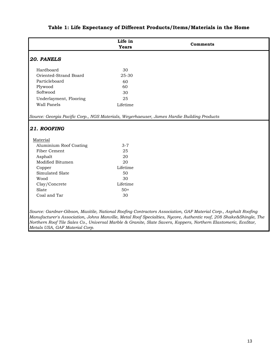|                                                                                            | Life in<br><b>Years</b> | Comments                                                                                                                                                                                                                              |
|--------------------------------------------------------------------------------------------|-------------------------|---------------------------------------------------------------------------------------------------------------------------------------------------------------------------------------------------------------------------------------|
| 20. PANELS                                                                                 |                         |                                                                                                                                                                                                                                       |
| Hardboard                                                                                  | 30                      |                                                                                                                                                                                                                                       |
| Oriented-Strand Board                                                                      | 25-30                   |                                                                                                                                                                                                                                       |
| Particleboard                                                                              | 60                      |                                                                                                                                                                                                                                       |
| Plywood                                                                                    | 60                      |                                                                                                                                                                                                                                       |
| Softwood                                                                                   | 30                      |                                                                                                                                                                                                                                       |
| Underlayment, Flooring                                                                     | 25                      |                                                                                                                                                                                                                                       |
| Wall Panels                                                                                | Lifetime                |                                                                                                                                                                                                                                       |
| Source: Georgia Pacific Corp., NGS Materials, Weyerhaeuser, James Hardie Building Products |                         |                                                                                                                                                                                                                                       |
| 21. ROOFING                                                                                |                         |                                                                                                                                                                                                                                       |
|                                                                                            |                         |                                                                                                                                                                                                                                       |
| Material                                                                                   |                         |                                                                                                                                                                                                                                       |
| Aluminium Roof Coating                                                                     | $3 - 7$                 |                                                                                                                                                                                                                                       |
| Fiber Cement                                                                               | 25                      |                                                                                                                                                                                                                                       |
| Asphalt                                                                                    | 20                      |                                                                                                                                                                                                                                       |
| Modified Bitumen                                                                           | 20                      |                                                                                                                                                                                                                                       |
| Copper                                                                                     | Lifetime                |                                                                                                                                                                                                                                       |
| Simulated Slate                                                                            | 50                      |                                                                                                                                                                                                                                       |
| Wood                                                                                       | 30                      |                                                                                                                                                                                                                                       |
| Clay/Concrete                                                                              | Lifetime                |                                                                                                                                                                                                                                       |
| Slate                                                                                      | $50+$                   |                                                                                                                                                                                                                                       |
| Coal and Tar                                                                               | 30                      |                                                                                                                                                                                                                                       |
|                                                                                            |                         |                                                                                                                                                                                                                                       |
|                                                                                            |                         | Source: Gardner-Gibson, Maxitile, National Roofing Contractors Association, GAF Material Corp., Asphalt Roofing                                                                                                                       |
|                                                                                            |                         | Manufacturer's Association, Johns Manville, Metal Roof Specialties, Nycore, Authentic roof, 208 Shake&Shingle, The<br>Northern Roof Tile Sales Co., Universal Marble & Granite, Slate Savers, Koppers, Northern Elastomeric, EcoStar, |

*Metals USA, GAF Material Corp.*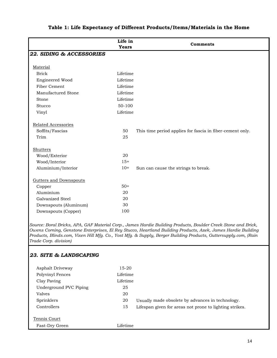|                                         | Life in<br><b>Years</b> | Comments                                                  |
|-----------------------------------------|-------------------------|-----------------------------------------------------------|
| 22. SIDING & ACCESSORIES                |                         |                                                           |
|                                         |                         |                                                           |
| Material                                |                         |                                                           |
| <b>Brick</b>                            | Lifetime                |                                                           |
| Engineered Wood                         | Lifetime                |                                                           |
| Fiber Cement                            | Lifetime                |                                                           |
| Manufactured Stone                      | Lifetime                |                                                           |
| Stone                                   | Lifetime                |                                                           |
| Stucco                                  | 50-100                  |                                                           |
| Vinyl                                   | Lifetime                |                                                           |
|                                         |                         |                                                           |
| Related Accessories                     |                         |                                                           |
| Soffits/Fascias                         | 50                      | This time period applies for fascia in fiber-cement only. |
| Trim                                    | 25                      |                                                           |
|                                         |                         |                                                           |
| Shutters                                |                         |                                                           |
| Wood/Exterior                           | 20                      |                                                           |
| Wood/Interior                           | $15+$                   |                                                           |
| Aluminium/Interior                      | $10+$                   | Sun can cause the strings to break.                       |
|                                         |                         |                                                           |
| <b>Gutters and Downspouts</b><br>Copper | $50+$                   |                                                           |
| Aluminium                               | 20                      |                                                           |
| Galvanized Steel                        | 20                      |                                                           |
| Downspouts (Aluminum)                   | 30                      |                                                           |
| Downspouts (Copper)                     | 100                     |                                                           |
|                                         |                         |                                                           |

*Source: Boral Bricks, APA, GAF Material Corp., James Hardie Building Products, Boulder Creek Stone and Brick, Owens Corning, Genstone Enterprises, El Rey Stucco, Heartland Building Products, Azek, James Hardie Building Products, Blinds.com, Vixen Hill Mfg. Co., Yost Mfg. & Supply, Berger Building Products, Guttersupply.com, (Rain Trade Corp. division)*

#### *23. SITE & LANDSCAPING*

| Asphalt Driveway       | $15-20$  |                                                         |
|------------------------|----------|---------------------------------------------------------|
| Polyvinyl Fences       | Lifetime |                                                         |
| Clay Paving            | Lifetime |                                                         |
| Underground PVC Piping | 25       |                                                         |
| Valves                 | 20       |                                                         |
| Sprinklers             | 20       | Usually made obsolete by advances in technology.        |
| Controllers            | 15       | Lifespan given for areas not prone to lighting strikes. |
| Tennis Court           |          |                                                         |
| Fast-Dry Green         | Lifetime |                                                         |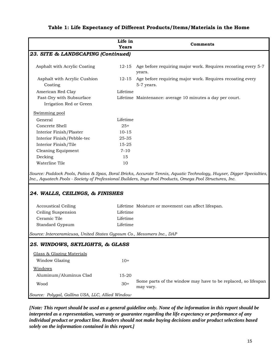|                                                                                                                        | Life in<br><b>Years</b>          | Comments                                                                                                                                                                                                                                                                               |
|------------------------------------------------------------------------------------------------------------------------|----------------------------------|----------------------------------------------------------------------------------------------------------------------------------------------------------------------------------------------------------------------------------------------------------------------------------------|
| 23. SITE & LANDSCAPING (Continued)                                                                                     |                                  |                                                                                                                                                                                                                                                                                        |
| Asphalt with Acrylic Coating                                                                                           | $12 - 15$                        | Age before requiring major work. Requires recoating every 5-7<br>years.                                                                                                                                                                                                                |
| Asphalt with Acrylic Cushion<br>Coating                                                                                | 12-15                            | Age before requiring major work. Requires recoating every<br>5-7 years.                                                                                                                                                                                                                |
| American Red Clay                                                                                                      | Lifetime                         |                                                                                                                                                                                                                                                                                        |
| Fast-Dry with Subsurface<br>Irrigation Red or Green                                                                    |                                  | Lifetime Maintenance: average 10 minutes a day per court.                                                                                                                                                                                                                              |
| Swimming pool                                                                                                          |                                  |                                                                                                                                                                                                                                                                                        |
| General                                                                                                                | Lifetime                         |                                                                                                                                                                                                                                                                                        |
| Concrete Shell                                                                                                         | $25+$                            |                                                                                                                                                                                                                                                                                        |
| Interior Finish/Plaster                                                                                                | $10 - 15$                        |                                                                                                                                                                                                                                                                                        |
| Interior Finish/Pebble-tec                                                                                             | 25-35                            |                                                                                                                                                                                                                                                                                        |
| Interior Finish/Tile                                                                                                   | 15-25                            |                                                                                                                                                                                                                                                                                        |
| <b>Cleaning Equipment</b>                                                                                              | $7 - 10$                         |                                                                                                                                                                                                                                                                                        |
| Decking                                                                                                                | 15                               |                                                                                                                                                                                                                                                                                        |
| Waterline Tile                                                                                                         | 10                               |                                                                                                                                                                                                                                                                                        |
| 24. WALLS, CEILINGS, & FINISHES<br><b>Accoustical Ceiling</b><br>Ceiling Suspension<br>Ceramic Tile<br>Standard Gypsum | Lifetime<br>Lifetime<br>Lifetime | Source: Paddock Pools, Patios & Spas, Boral Bricks, Accurate Tennis, Aquatic Technology, Huyser, Digger Specialties,<br>Inc., Aquatech Pools - Society of Professional Builders, Inyo Pool Products, Omega Pool Structures, Inc.<br>Lifetime Moisture or movement can affect lifespan. |
| Source: Interceramicusa, United States Gypsum Co., Messmers Inc., DAP                                                  |                                  |                                                                                                                                                                                                                                                                                        |
| 25. WINDOWS, SKYLIGHTS, & GLASS                                                                                        |                                  |                                                                                                                                                                                                                                                                                        |
| Glass & Glazing Materials                                                                                              |                                  |                                                                                                                                                                                                                                                                                        |
| Window Glazing                                                                                                         | $10+$                            |                                                                                                                                                                                                                                                                                        |
| Windows                                                                                                                |                                  |                                                                                                                                                                                                                                                                                        |
| Aluminum/Aluminus Clad                                                                                                 | 15-20                            |                                                                                                                                                                                                                                                                                        |
| Wood                                                                                                                   | $30+$                            | Some parts of the window may have to be replaced, so lifespan<br>may vary.                                                                                                                                                                                                             |

*Source: Polygal, Gallina USA, LLC, Allied Window*

*[Note: This report should be used as a general guideline only. None of the information in this report should be interpreted as a representation, warranty or guarantee regarding the life expectancy or performance of any individual product or product line. Readers should not make buying decisions and/or product selections based solely on the information contained in this report.]*